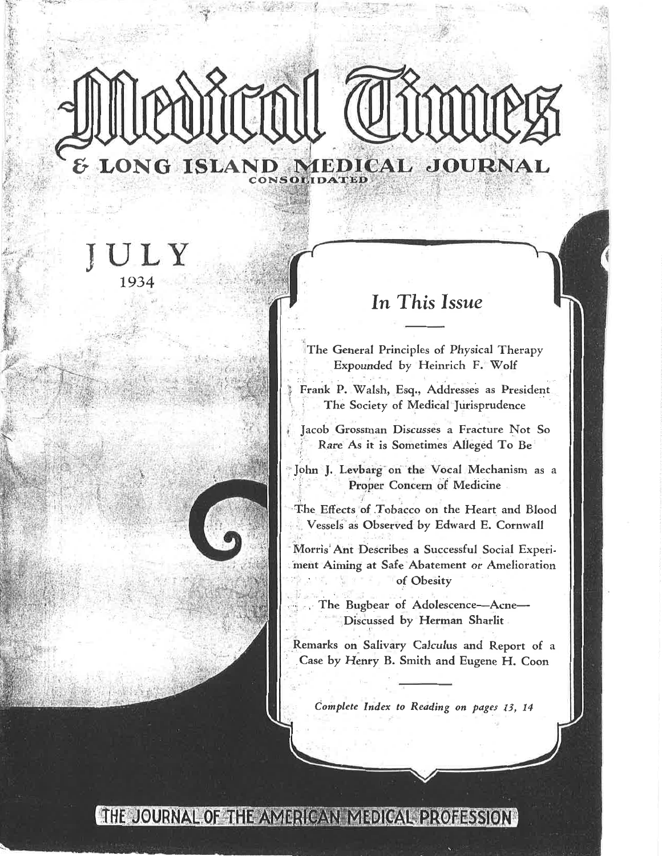# Medical Time LONG ISLAND MEDICAL JOURNAL CONSOLIDATED

## ULY 1934

### In This Issue

The General Principles of Physical Therapy Expounded by Heinrich F. Wolf

Frank P. Walsh, Esq., Addresses as President The Society of Medical Jurisprudence

Jacob Grossman Discusses a Fracture Not So Rare As it is Sometimes Alleged To Be

John J. Levbarg on the Vocal Mechanism as a Proper Concern of Medicine

The Effects of Tobacco on the Heart and Blood Vessels as Observed by Edward E. Cornwall

Morris Ant Describes a Successful Social Experiment Aiming at Safe Abatement or Amelioration of Obesity

The Bugbear of Adolescence-Acne-Discussed by Herman Sharlit

Remarks on Salivary Calculus and Report of a Case by Henry B. Smith and Eugene H. Coon

Complete Index to Reading on pages 13, 14

#### THE JOURNAL OF THE AMERICAN MEDICAL PROFESSION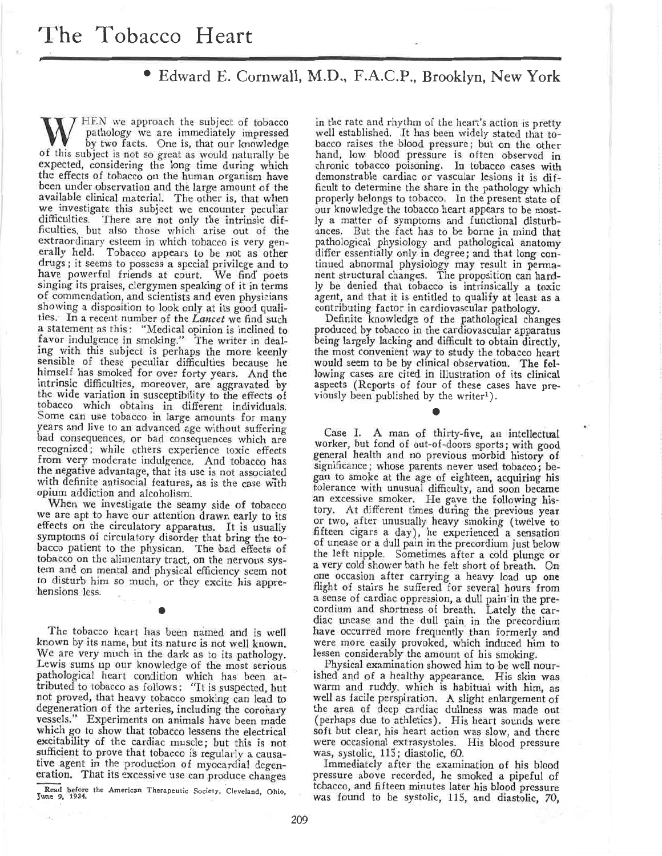#### Edward E. Cornwall, M.D., F.A.C.P., Brooklyn, New York

 $\mathcal T$  HEN we approach the subject of tobacco pathology we are immediately impressed by two facts. One is, that our knowledge of this subject is not so great as would naturally be expected, considering the long time during which the effects of tobacco on the human organism have been under observation and the large amount of the available clinical material. The other is, that when we investigate this subject we encounter peculiar difficulties. There are not only the intrinsic difficulties, but also those which arise out of the extraordinary esteem in which tobacco is very generally held. Tobacco appears to be not as other drugs; it seems to possess a special privilege and to have powerful friends at court. We find poets singing its praises, clergymen speaking of it in terms of commendation, and scientists and even physicians showing a disposition to look only at its good qualities. In a recent number of the Lancet we find such a statement as this: "Medical opinion is inclined to<br>favor indulgence in smoking." The writer in dealing with this subject is perhaps the more keenly sensible of these peculiar difficulties because he himself has smoked for over forty years. And the intrinsic difficulties, moreover, are aggravated by the wide variation in susceptibility to the effects of tobacco which obtains in different individuals. Some can use tobacco in large amounts for many years and live to an advanced age without suffering bad consequences, or bad consequences which are recognized; while others experience toxic effects from very moderate indulgence. And tobacco has the negative advantage, that its use is not associated with definite antisocial features, as is the case with opium addiction and alcoholism.

When we investigate the seamy side of tobacco we are apt to have our attention drawn early to its effects on the circulatory apparatus. It is usually symptoms of circulatory disorder that bring the tobacco patient to the physican. The bad effects of tobacco on the alimentary tract, on the nervous system and on mental and physical efficiency seem not to disturb him so much, or they excite his apprehensions less.

The tobacco heart has been named and is well known by its name, but its nature is not well known. We are very much in the dark as to its pathology. Lewis sums up our knowledge of the most serious pathological heart condition which has been attributed to tobacco as follows: "It is suspected, but not proved, that heavy tobacco smoking can lead to degeneration of the arteries, including the coronary vessels." Experiments on animals have been made which go to show that tobacco lessens the electrical excitability of the cardiac muscle; but this is not sufficient to prove that tobacco is regularly a causative agent in the production of myocardial degeneration. That its excessive use can produce changes

Read before the American Therapeutic Society, Cleveland, Ohio, June 9, 1934.

 $\sim$ 

in the rate and rhythm of the heart's action is pretty well established. It has been widely stated that tobacco raises the blood pressure; but on the other hand, low blood pressure is often observed in chronic tobacco poisoning. In tobacco cases with demonstrable cardiac or vascular lesions it is difficult to determine the share in the pathology which properly belongs to tobacco. In the present state of our knowledge the tobacco heart appears to be mostly a matter of symptoms and functional disturbances. But the fact has to be borne in mind that pathological physiology and pathological anatomy differ essentially only in degree; and that long continued abnormal physiology may result in perma-<br>nent structural changes. The proposition can hardly be denied that tobacco is intrinsically a toxic agent, and that it is entitled to qualify at least as a contributing factor in cardiovascular pathology.

Definite knowledge of the pathological changes produced by tobacco in the cardiovascular apparatus being largely lacking and difficult to obtain directly. the most convenient way to study the tobacco heart would seem to be by clinical observation. The following cases are cited in illustration of its clinical aspects (Reports of four of these cases have previously been published by the writer<sup>1</sup>).

Case I. A man of thirty-five, an intellectual worker, but fond of out-of-doors sports; with good general health and no previous morbid history of significance; whose parents never used tobacco; began to smoke at the age of eighteen, acquiring his tolerance with unusual difficulty, and soon became an excessive smoker. He gave the following history. At different times during the previous year or two, after unusually heavy smoking (twelve to fifteen cigars a day), he experienced a sensation of unease or a dull pain in the precordium just below the left nipple. Sometimes after a cold plunge or a very cold shower bath he felt short of breath. On one occasion after carrying a heavy load up one flight of stairs he suffered for several hours from a sense of cardiac oppression, a dull pain in the pre-<br>cordium and shortness of breath. Lately the cardiac unease and the dull pain in the precordium have occurred more frequently than formerly and were more easily provoked, which induced him to lessen considerably the amount of his smoking.

Physical examination showed him to be well nourished and of a healthy appearance. His skin was warm and ruddy, which is habitual with him, as well as facile perspiration. A slight enlargement of the area of deep cardiac dullness was made out (perhaps due to athletics). His heart sounds were soft but clear, his heart action was slow, and there were occasional extrasystoles. His blood pressure was, systolic, 115; diastolic, 60.

Immediately after the examination of his blood pressure above recorded, he smoked a pipeful of tobacco, and fifteen minutes later his blood pressure was found to be systolic, 115, and diastolic, 70,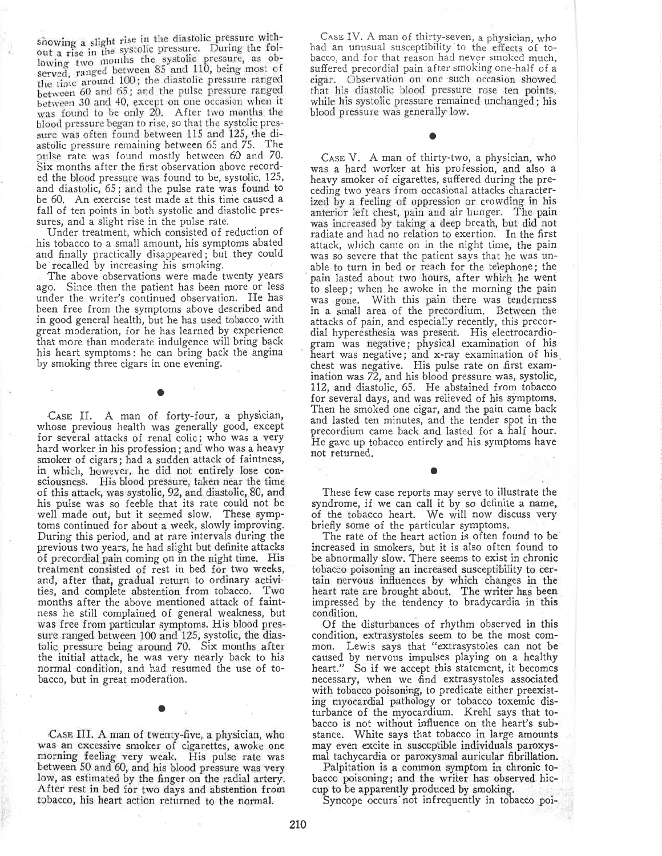showing a slight rise in the diastolic pressure without a rise in the systolic pressure. During the following two months the systolic pressure, as ob-<br>served, ranged between 85 and 110, being most of the time around 100; the diastolic pressure ranged between 60 and 65; and the pulse pressure ranged between 30 and 40, except on one occasion when it was found to be only 20. After two months the blood pressure began to rise, so that the systolic pressure was often found between 115 and 125, the diastolic pressure remaining between 65 and 75. The pulse rate was found mostly between 60 and 70. Six months after the first observation above recorded the blood pressure was found to be, systolic, 125, and diastolic, 65; and the pulse rate was found to be 60. An exercise test made at this time caused a fall of ten points in both systolic and diastolic pressures, and a slight rise in the pulse rate.

Under treatment, which consisted of reduction of his tobacco to a small amount, his symptoms abated and finally practically disappeared; but they could be recalled by increasing his smoking.

The above observations were made twenty years ago. Since then the patient has been more or less under the writer's continued observation. He has been free from the symptoms above described and in good general health, but he has used tobacco with great moderation, for he has learned by experience that more than moderate indulgence will bring back his heart symptoms: he can bring back the angina by smoking three cigars in one evening.

CASE II. A man of forty-four, a physician, whose previous health was generally good, except<br>for several attacks of renal colic; who was a very hard worker in his profession; and who was a heavy smoker of cigars; had a sudden attack of faintness, in which, however, he did not entirely lose consciousness. His blood pressure, taken near the time of this attack, was systolic, 92, and diastolic, 80, and his pulse was so feeble that its rate could not be well made out, but it seemed slow. These symptoms continued for about a week, slowly improving. During this period, and at rare intervals during the previous two years, he had slight but definite attacks of precordial pain coming on in the night time. His treatment consisted of rest in bed for two weeks, and, after that, gradual return to ordinary activities, and complete abstention from tobacco. Two months after the above mentioned attack of faintness he still complained of general weakness, but was free from particular symptoms. His blood pressure ranged between 100 and 125, systolic, the diastolic pressure being around 70. Six months after the initial attack, he was very nearly back to his normal condition, and had resumed the use of tobacco, but in great moderation.

CASE III. A man of twenty-five, a physician, who was an excessive smoker of cigarettes, awoke one<br>morning feeling very weak. His pulse rate was<br>between 50 and 60, and his blood pressure was very low, as estimated by the finger on the radial artery. After rest in bed for two days and abstention from tobacco, his heart action returned to the normal.

CASE IV. A man of thirty-seven, a physician, who had an unusual susceptibility to the effects of tobacco, and for that reason had never smoked much. suffered precordial pain after smoking one-half of a Observation on one such occasion showed cigar. that his diastolic blood pressure rose ten points, while his systolic pressure remained unchanged; his blood pressure was generally low.

CASE V. A man of thirty-two, a physician, who was a hard worker at his profession, and also a heavy smoker of cigarettes, suffered during the preceding two years from occasional attacks characterized by a feeling of oppression or crowding in his<br>anterior left chest, pain and air hunger. The pain was increased by taking a deep breath, but did not radiate and had no relation to exertion. In the first attack, which came on in the night time, the pain was so severe that the patient says that he was unable to turn in bed or reach for the telephone; the pain lasted about two hours, after which he went to sleep; when he awoke in the morning the pain was gone. With this pain there was tenderness in a small area of the precordium. Between the attacks of pain, and especially recently, this precordial hyperesthesia was present. His electrocardiogram was negative; physical examination of his heart was negative; and x-ray examination of his chest was negative. His pulse rate on first examination was 72, and his blood pressure was, systolic, 112, and diastolic, 65. He abstained from tobacco for several days, and was relieved of his symptoms. Then he smoked one cigar, and the pain came back and lasted ten minutes, and the tender spot in the precordium came back and lasted for a half hour. He gave up tobacco entirely and his symptoms have not returned.

These few case reports may serve to illustrate the syndrome, if we can call it by so definite a name, of the tobacco heart. We will now discuss very briefly some of the particular symptoms.

The rate of the heart action is often found to be increased in smokers, but it is also often found to be abnormally slow. There seems to exist in chronic tobacco poisoning an increased susceptibility to certain nervous influences by which changes in the heart rate are brought about. The writer has been impressed by the tendency to bradycardia in this condition.

Of the disturbances of rhythm observed in this condition, extrasystoles seem to be the most com-Lewis says that "extrasystoles can not be mon. caused by nervous impulses playing on a healthy heart." So if we accept this statement, it becomes necessary, when we find extrasystoles associated with tobacco poisoning, to predicate either preexisting myocardial pathology or tobacco toxemic disturbance of the myocardium. Krehl says that tobacco is not without influence on the heart's substance. White says that tobacco in large amounts may even excite in susceptible individuals paroxysmal tachycardia or paroxysmal auricular fibrillation.

Palpitation is a common symptom in chronic tobacco poisoning; and the writer has observed hiccup to be apparently produced by smoking.

Syncope occurs not infrequently in tobacco poi-